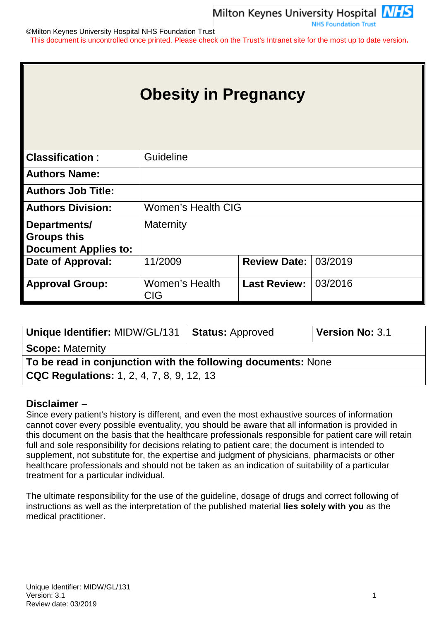**NHS Foundation Trust** 

©Milton Keynes University Hospital NHS Foundation Trust This document is uncontrolled once printed. Please check on the Trust's Intranet site for the most up to date version**.**

|                                                                   | <b>Obesity in Pregnancy</b>  |                     |         |
|-------------------------------------------------------------------|------------------------------|---------------------|---------|
| <b>Classification:</b>                                            | Guideline                    |                     |         |
| <b>Authors Name:</b>                                              |                              |                     |         |
| <b>Authors Job Title:</b>                                         |                              |                     |         |
| <b>Authors Division:</b>                                          | <b>Women's Health CIG</b>    |                     |         |
| Departments/<br><b>Groups this</b><br><b>Document Applies to:</b> | <b>Maternity</b>             |                     |         |
| Date of Approval:                                                 | 11/2009                      | <b>Review Date:</b> | 03/2019 |
| <b>Approval Group:</b>                                            | Women's Health<br><b>CIG</b> | <b>Last Review:</b> | 03/2016 |

| <b>Unique Identifier: MIDW/GL/131</b>                        | <b>Status: Approved</b> | Version No: 3.1 |
|--------------------------------------------------------------|-------------------------|-----------------|
| <b>Scope: Maternity</b>                                      |                         |                 |
| To be read in conjunction with the following documents: None |                         |                 |
| <b>CQC Regulations:</b> 1, 2, 4, 7, 8, 9, 12, 13             |                         |                 |

#### **Disclaimer –**

Since every patient's history is different, and even the most exhaustive sources of information cannot cover every possible eventuality, you should be aware that all information is provided in this document on the basis that the healthcare professionals responsible for patient care will retain full and sole responsibility for decisions relating to patient care; the document is intended to supplement, not substitute for, the expertise and judgment of physicians, pharmacists or other healthcare professionals and should not be taken as an indication of suitability of a particular treatment for a particular individual.

The ultimate responsibility for the use of the guideline, dosage of drugs and correct following of instructions as well as the interpretation of the published material **lies solely with you** as the medical practitioner.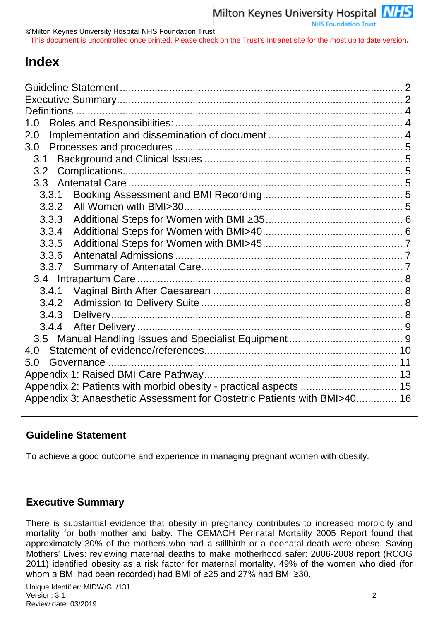# **Index**

| 1.0              |                                                                          |  |
|------------------|--------------------------------------------------------------------------|--|
| 2.0              |                                                                          |  |
| 3.0              |                                                                          |  |
| 3.1              |                                                                          |  |
| 3.2              |                                                                          |  |
| 3.3 <sub>2</sub> |                                                                          |  |
| 3.3.1            |                                                                          |  |
| 3.3.2            |                                                                          |  |
| 3.3.3            |                                                                          |  |
| 3.3.4            |                                                                          |  |
| 3.3.5            |                                                                          |  |
| 3.3.6            |                                                                          |  |
| 3.3.7            |                                                                          |  |
|                  |                                                                          |  |
| 3.4.1            |                                                                          |  |
| 3.4.2            |                                                                          |  |
| 3.4.3            |                                                                          |  |
| 3.4.4            |                                                                          |  |
|                  |                                                                          |  |
| 4.0              |                                                                          |  |
| 5.0              |                                                                          |  |
|                  |                                                                          |  |
|                  | Appendix 2: Patients with morbid obesity - practical aspects  15         |  |
|                  | Appendix 3: Anaesthetic Assessment for Obstetric Patients with BMI>40 16 |  |
|                  |                                                                          |  |

# <span id="page-1-0"></span>**Guideline Statement**

To achieve a good outcome and experience in managing pregnant women with obesity.

# <span id="page-1-1"></span>**Executive Summary**

There is substantial evidence that obesity in pregnancy contributes to increased morbidity and mortality for both mother and baby. The CEMACH Perinatal Mortality 2005 Report found that approximately 30% of the mothers who had a stillbirth or a neonatal death were obese. Saving Mothers' Lives: reviewing maternal deaths to make motherhood safer: 2006-2008 report (RCOG 2011) identified obesity as a risk factor for maternal mortality. 49% of the women who died (for whom a BMI had been recorded) had BMI of ≥25 and 27% had BMI ≥30.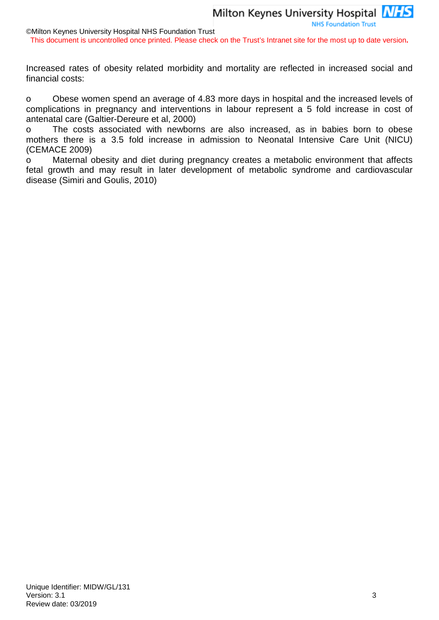**NHS Foundation Trust** 

©Milton Keynes University Hospital NHS Foundation Trust

This document is uncontrolled once printed. Please check on the Trust's Intranet site for the most up to date version**.**

Increased rates of obesity related morbidity and mortality are reflected in increased social and financial costs:

o Obese women spend an average of 4.83 more days in hospital and the increased levels of complications in pregnancy and interventions in labour represent a 5 fold increase in cost of antenatal care (Galtier-Dereure et al, 2000)

o The costs associated with newborns are also increased, as in babies born to obese mothers there is a 3.5 fold increase in admission to Neonatal Intensive Care Unit (NICU) (CEMACE 2009)

o Maternal obesity and diet during pregnancy creates a metabolic environment that affects fetal growth and may result in later development of metabolic syndrome and cardiovascular disease (Simiri and Goulis, 2010)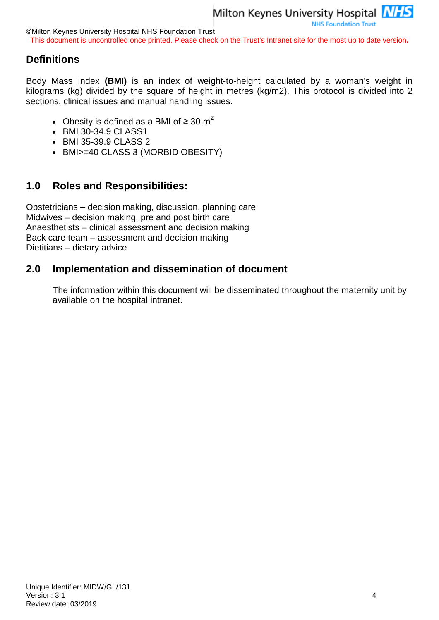©Milton Keynes University Hospital NHS Foundation Trust

This document is uncontrolled once printed. Please check on the Trust's Intranet site for the most up to date version**.**

# <span id="page-3-0"></span>**Definitions**

Body Mass Index **(BMI)** is an index of weight-to-height calculated by a woman's weight in kilograms (kg) divided by the square of height in metres (kg/m2). This protocol is divided into 2 sections, clinical issues and manual handling issues.

- Obesity is defined as a BMI of  $\geq 30 \text{ m}^2$
- BMI 30-34.9 CLASS1
- BMI 35-39.9 CLASS 2
- BMI>=40 CLASS 3 (MORBID OBESITY)

# <span id="page-3-1"></span>**1.0 Roles and Responsibilities:**

Obstetricians – decision making, discussion, planning care Midwives – decision making, pre and post birth care Anaesthetists – clinical assessment and decision making Back care team – assessment and decision making Dietitians – dietary advice

# <span id="page-3-2"></span>**2.0 Implementation and dissemination of document**

The information within this document will be disseminated throughout the maternity unit by available on the hospital intranet.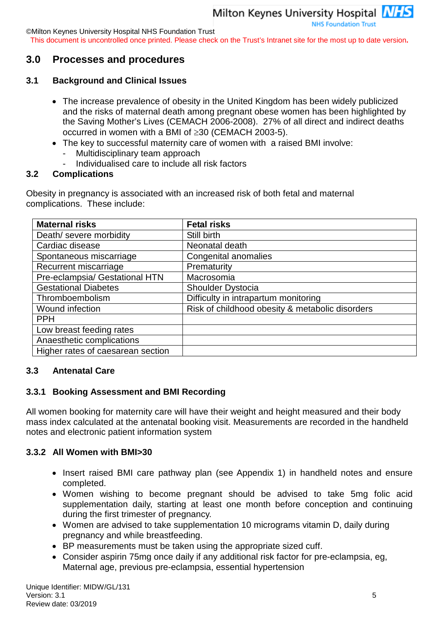©Milton Keynes University Hospital NHS Foundation Trust

This document is uncontrolled once printed. Please check on the Trust's Intranet site for the most up to date version**.**

# <span id="page-4-0"></span>**3.0 Processes and procedures**

#### <span id="page-4-1"></span>**3.1 Background and Clinical Issues**

- The increase prevalence of obesity in the United Kingdom has been widely publicized and the risks of maternal death among pregnant obese women has been highlighted by the Saving Mother's Lives (CEMACH 2006-2008). 27% of all direct and indirect deaths occurred in women with a BMI of ≥30 (CEMACH 2003-5).
- The key to successful maternity care of women with a raised BMI involve: Multidisciplinary team approach
	- Individualised care to include all risk factors

#### <span id="page-4-2"></span>**3.2 Complications**

Obesity in pregnancy is associated with an increased risk of both fetal and maternal complications. These include:

| <b>Maternal risks</b>             | <b>Fetal risks</b>                              |
|-----------------------------------|-------------------------------------------------|
| Death/ severe morbidity           | Still birth                                     |
| Cardiac disease                   | Neonatal death                                  |
| Spontaneous miscarriage           | Congenital anomalies                            |
| Recurrent miscarriage             | Prematurity                                     |
| Pre-eclampsia/ Gestational HTN    | Macrosomia                                      |
| <b>Gestational Diabetes</b>       | Shoulder Dystocia                               |
| Thromboembolism                   | Difficulty in intrapartum monitoring            |
| Wound infection                   | Risk of childhood obesity & metabolic disorders |
| <b>PPH</b>                        |                                                 |
| Low breast feeding rates          |                                                 |
| Anaesthetic complications         |                                                 |
| Higher rates of caesarean section |                                                 |

#### <span id="page-4-3"></span>**3.3 Antenatal Care**

#### <span id="page-4-4"></span>**3.3.1 Booking Assessment and BMI Recording**

All women booking for maternity care will have their weight and height measured and their body mass index calculated at the antenatal booking visit. Measurements are recorded in the handheld notes and electronic patient information system

#### <span id="page-4-5"></span>**3.3.2 All Women with BMI>30**

- Insert raised BMI care pathway plan (see Appendix 1) in handheld notes and ensure completed.
- Women wishing to become pregnant should be advised to take 5mg folic acid supplementation daily, starting at least one month before conception and continuing during the first trimester of pregnancy.
- Women are advised to take supplementation 10 micrograms vitamin D, daily during pregnancy and while breastfeeding.
- BP measurements must be taken using the appropriate sized cuff.
- Consider aspirin 75mg once daily if any additional risk factor for pre-eclampsia, eg, Maternal age, previous pre-eclampsia, essential hypertension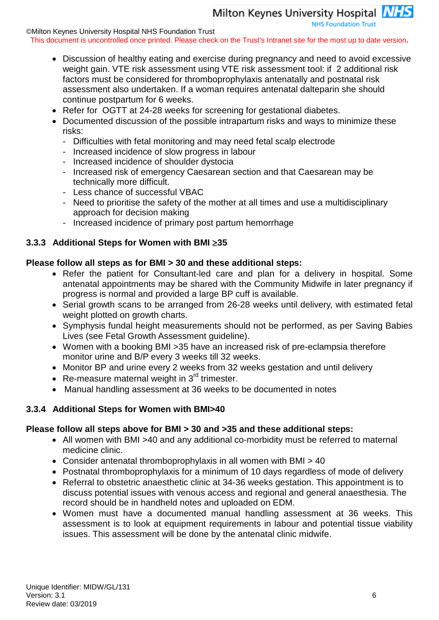**NHS Foundation Trust** 

©Milton Keynes University Hospital NHS Foundation Trust

This document is uncontrolled once printed. Please check on the Trust's Intranet site for the most up to date version**.**

- Discussion of healthy eating and exercise during pregnancy and need to avoid excessive weight gain. VTE risk assessment using VTE risk assessment tool: if 2 additional risk factors must be considered for thromboprophylaxis antenatally and postnatal risk assessment also undertaken. If a woman requires antenatal dalteparin she should continue postpartum for 6 weeks.
- Refer for OGTT at 24-28 weeks for screening for gestational diabetes.
- Documented discussion of the possible intrapartum risks and ways to minimize these risks:
	- Difficulties with fetal monitoring and may need fetal scalp electrode
	- Increased incidence of slow progress in labour
	- Increased incidence of shoulder dystocia
	- Increased risk of emergency Caesarean section and that Caesarean may be technically more difficult.
	- Less chance of successful VBAC
	- Need to prioritise the safety of the mother at all times and use a multidisciplinary approach for decision making
	- Increased incidence of primary post partum hemorrhage

# <span id="page-5-0"></span>**3.3.3 Additional Steps for Women with BMI** ≥**35**

# **Please follow all steps as for BMI > 30 and these additional steps:**

- Refer the patient for Consultant-led care and plan for a delivery in hospital. Some antenatal appointments may be shared with the Community Midwife in later pregnancy if progress is normal and provided a large BP cuff is available.
- Serial growth scans to be arranged from 26-28 weeks until delivery, with estimated fetal weight plotted on growth charts.
- Symphysis fundal height measurements should not be performed, as per Saving Babies Lives (see Fetal Growth Assessment guideline).
- Women with a booking BMI >35 have an increased risk of pre-eclampsia therefore monitor urine and B/P every 3 weeks till 32 weeks.
- Monitor BP and urine every 2 weeks from 32 weeks gestation and until delivery
- Re-measure maternal weight in  $3^{rd}$  trimester.
- Manual handling assessment at 36 weeks to be documented in notes

# <span id="page-5-1"></span>**3.3.4 Additional Steps for Women with BMI>40**

# **Please follow all steps above for BMI > 30 and >35 and these additional steps:**

- All women with BMI >40 and any additional co-morbidity must be referred to maternal medicine clinic.
- Consider antenatal thromboprophylaxis in all women with BMI > 40
- Postnatal thromboprophylaxis for a minimum of 10 days regardless of mode of delivery
- Referral to obstetric anaesthetic clinic at 34-36 weeks gestation. This appointment is to discuss potential issues with venous access and regional and general anaesthesia. The record should be in handheld notes and uploaded on EDM.
- Women must have a documented manual handling assessment at 36 weeks. This assessment is to look at equipment requirements in labour and potential tissue viability issues. This assessment will be done by the antenatal clinic midwife.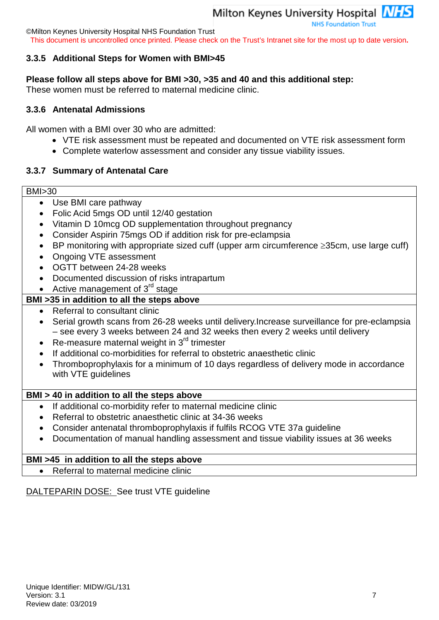©Milton Keynes University Hospital NHS Foundation Trust

This document is uncontrolled once printed. Please check on the Trust's Intranet site for the most up to date version**.**

## <span id="page-6-0"></span>**3.3.5 Additional Steps for Women with BMI>45**

#### **Please follow all steps above for BMI >30, >35 and 40 and this additional step:**

These women must be referred to maternal medicine clinic.

#### <span id="page-6-1"></span>**3.3.6 Antenatal Admissions**

All women with a BMI over 30 who are admitted:

- VTE risk assessment must be repeated and documented on VTE risk assessment form
- Complete waterlow assessment and consider any tissue viability issues.

#### <span id="page-6-2"></span>**3.3.7 Summary of Antenatal Care**

#### BMI>30

- Use BMI care pathway
- Folic Acid 5mgs OD until 12/40 gestation
- Vitamin D 10mcg OD supplementation throughout pregnancy
- Consider Aspirin 75mgs OD if addition risk for pre-eclampsia
- BP monitoring with appropriate sized cuff (upper arm circumference ≥35cm, use large cuff)
- Ongoing VTE assessment
- OGTT between 24-28 weeks
- Documented discussion of risks intrapartum
- Active management of  $3<sup>rd</sup>$  stage

### **BMI >35 in addition to all the steps above**

- Referral to consultant clinic
- Serial growth scans from 26-28 weeks until delivery.Increase surveillance for pre-eclampsia – see every 3 weeks between 24 and 32 weeks then every 2 weeks until delivery
- Re-measure maternal weight in  $3<sup>rd</sup>$  trimester
- If additional co-morbidities for referral to obstetric anaesthetic clinic
- Thromboprophylaxis for a minimum of 10 days regardless of delivery mode in accordance with VTE guidelines

#### **BMI > 40 in addition to all the steps above**

- If additional co-morbidity refer to maternal medicine clinic
- Referral to obstetric anaesthetic clinic at 34-36 weeks
- Consider antenatal thromboprophylaxis if fulfils RCOG VTE 37a guideline
- Documentation of manual handling assessment and tissue viability issues at 36 weeks

#### **BMI >45 in addition to all the steps above**

• Referral to maternal medicine clinic

# DALTEPARIN DOSE: See trust VTE guideline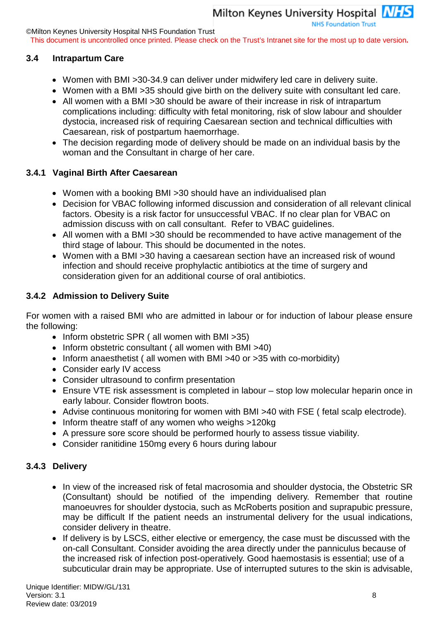**NHS Foundation Trust** 

©Milton Keynes University Hospital NHS Foundation Trust

This document is uncontrolled once printed. Please check on the Trust's Intranet site for the most up to date version**.**

#### <span id="page-7-0"></span>**3.4 Intrapartum Care**

- Women with BMI >30-34.9 can deliver under midwifery led care in delivery suite.
- Women with a BMI >35 should give birth on the delivery suite with consultant led care.
- All women with a BMI > 30 should be aware of their increase in risk of intrapartum complications including: difficulty with fetal monitoring, risk of slow labour and shoulder dystocia, increased risk of requiring Caesarean section and technical difficulties with Caesarean, risk of postpartum haemorrhage.
- The decision regarding mode of delivery should be made on an individual basis by the woman and the Consultant in charge of her care.

#### <span id="page-7-1"></span>**3.4.1 Vaginal Birth After Caesarean**

- Women with a booking BMI >30 should have an individualised plan
- Decision for VBAC following informed discussion and consideration of all relevant clinical factors. Obesity is a risk factor for unsuccessful VBAC. If no clear plan for VBAC on admission discuss with on call consultant. Refer to VBAC guidelines.
- All women with a BMI >30 should be recommended to have active management of the third stage of labour. This should be documented in the notes.
- Women with a BMI >30 having a caesarean section have an increased risk of wound infection and should receive prophylactic antibiotics at the time of surgery and consideration given for an additional course of oral antibiotics.

#### <span id="page-7-2"></span>**3.4.2 Admission to Delivery Suite**

For women with a raised BMI who are admitted in labour or for induction of labour please ensure the following:

- Inform obstetric SPR ( all women with BMI >35)
- Inform obstetric consultant ( all women with BMI >40)
- Inform anaesthetist ( all women with BMI >40 or >35 with co-morbidity)
- Consider early IV access
- Consider ultrasound to confirm presentation
- Ensure VTE risk assessment is completed in labour stop low molecular heparin once in early labour. Consider flowtron boots.
- Advise continuous monitoring for women with BMI >40 with FSE ( fetal scalp electrode).
- Inform theatre staff of any women who weighs >120kg
- A pressure sore score should be performed hourly to assess tissue viability.
- Consider ranitidine 150mg every 6 hours during labour

#### <span id="page-7-3"></span>**3.4.3 Delivery**

- In view of the increased risk of fetal macrosomia and shoulder dystocia, the Obstetric SR (Consultant) should be notified of the impending delivery. Remember that routine manoeuvres for shoulder dystocia, such as McRoberts position and suprapubic pressure, may be difficult If the patient needs an instrumental delivery for the usual indications, consider delivery in theatre.
- If delivery is by LSCS, either elective or emergency, the case must be discussed with the on-call Consultant. Consider avoiding the area directly under the panniculus because of the increased risk of infection post-operatively. Good haemostasis is essential; use of a subcuticular drain may be appropriate. Use of interrupted sutures to the skin is advisable,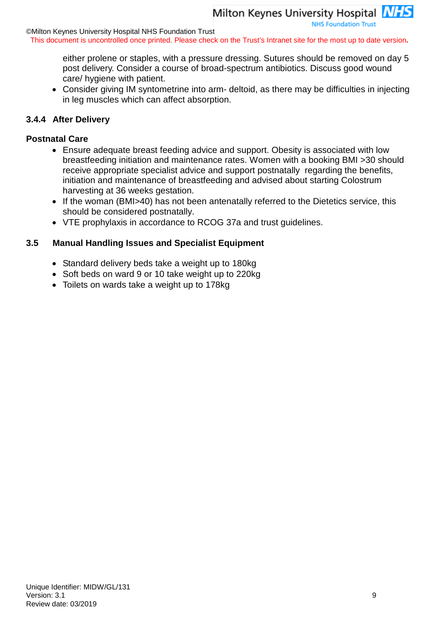**NHS Foundation Trust** 

©Milton Keynes University Hospital NHS Foundation Trust

This document is uncontrolled once printed. Please check on the Trust's Intranet site for the most up to date version**.**

either prolene or staples, with a pressure dressing. Sutures should be removed on day 5 post delivery. Consider a course of broad-spectrum antibiotics. Discuss good wound care/ hygiene with patient.

• Consider giving IM syntometrine into arm- deltoid, as there may be difficulties in injecting in leg muscles which can affect absorption.

#### <span id="page-8-0"></span>**3.4.4 After Delivery**

#### **Postnatal Care**

- Ensure adequate breast feeding advice and support. Obesity is associated with low breastfeeding initiation and maintenance rates. Women with a booking BMI >30 should receive appropriate specialist advice and support postnatally regarding the benefits, initiation and maintenance of breastfeeding and advised about starting Colostrum harvesting at 36 weeks gestation.
- If the woman (BMI>40) has not been antenatally referred to the Dietetics service, this should be considered postnatally.
- VTE prophylaxis in accordance to RCOG 37a and trust guidelines.

#### <span id="page-8-1"></span>**3.5 Manual Handling Issues and Specialist Equipment**

- Standard delivery beds take a weight up to 180kg
- Soft beds on ward 9 or 10 take weight up to 220kg
- Toilets on wards take a weight up to 178kg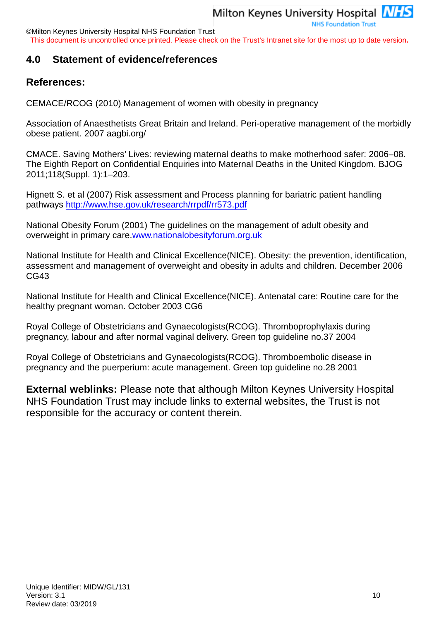©Milton Keynes University Hospital NHS Foundation Trust

This document is uncontrolled once printed. Please check on the Trust's Intranet site for the most up to date version**.**

# <span id="page-9-0"></span>**4.0 Statement of evidence/references**

# **References:**

CEMACE/RCOG (2010) Management of women with obesity in pregnancy

Association of Anaesthetists Great Britain and Ireland. Peri-operative management of the morbidly obese patient. 2007 aagbi.org/

CMACE. Saving Mothers' Lives: reviewing maternal deaths to make motherhood safer: 2006–08. The Eighth Report on Confidential Enquiries into Maternal Deaths in the United Kingdom. BJOG 2011;118(Suppl. 1):1–203.

Hignett S. et al (2007) Risk assessment and Process planning for bariatric patient handling pathways<http://www.hse.gov.uk/research/rrpdf/rr573.pdf>

National Obesity Forum (2001) The guidelines on the management of adult obesity and overweight in primary care.www.nationalobesityforum.org.uk

National Institute for Health and Clinical Excellence(NICE). Obesity: the prevention, identification, assessment and management of overweight and obesity in adults and children. December 2006 CG43

National Institute for Health and Clinical Excellence(NICE). Antenatal care: Routine care for the healthy pregnant woman. October 2003 CG6

Royal College of Obstetricians and Gynaecologists(RCOG). Thromboprophylaxis during pregnancy, labour and after normal vaginal delivery. Green top guideline no.37 2004

Royal College of Obstetricians and Gynaecologists(RCOG). Thromboembolic disease in pregnancy and the puerperium: acute management. Green top guideline no.28 2001

**External weblinks:** Please note that although Milton Keynes University Hospital NHS Foundation Trust may include links to external websites, the Trust is not responsible for the accuracy or content therein.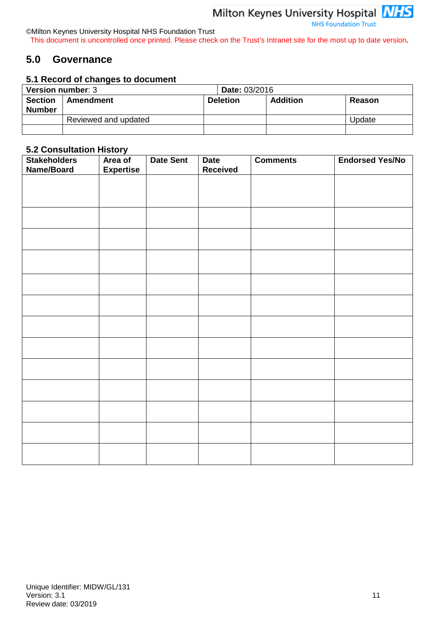©Milton Keynes University Hospital NHS Foundation Trust This document is uncontrolled once printed. Please check on the Trust's Intranet site for the most up to date version**.**

# <span id="page-10-0"></span>**5.0 Governance**

#### **5.1 Record of changes to document**

| <b>Version number: 3</b> | <b>Date: 03/2016</b> |                 |                 |               |
|--------------------------|----------------------|-----------------|-----------------|---------------|
| <b>Section</b>           | <b>Amendment</b>     | <b>Deletion</b> | <b>Addition</b> | <b>Reason</b> |
| <b>Number</b>            |                      |                 |                 |               |
|                          | Reviewed and updated |                 |                 | Update        |
|                          |                      |                 |                 |               |

#### **5.2 Consultation History**

| <b>Stakeholders</b><br>Name/Board | Area of<br><b>Expertise</b> | <b>Date Sent</b> | <b>Date</b><br><b>Received</b> | <b>Comments</b> | <b>Endorsed Yes/No</b> |
|-----------------------------------|-----------------------------|------------------|--------------------------------|-----------------|------------------------|
|                                   |                             |                  |                                |                 |                        |
|                                   |                             |                  |                                |                 |                        |
|                                   |                             |                  |                                |                 |                        |
|                                   |                             |                  |                                |                 |                        |
|                                   |                             |                  |                                |                 |                        |
|                                   |                             |                  |                                |                 |                        |
|                                   |                             |                  |                                |                 |                        |
|                                   |                             |                  |                                |                 |                        |
|                                   |                             |                  |                                |                 |                        |
|                                   |                             |                  |                                |                 |                        |
|                                   |                             |                  |                                |                 |                        |
|                                   |                             |                  |                                |                 |                        |
|                                   |                             |                  |                                |                 |                        |
|                                   |                             |                  |                                |                 |                        |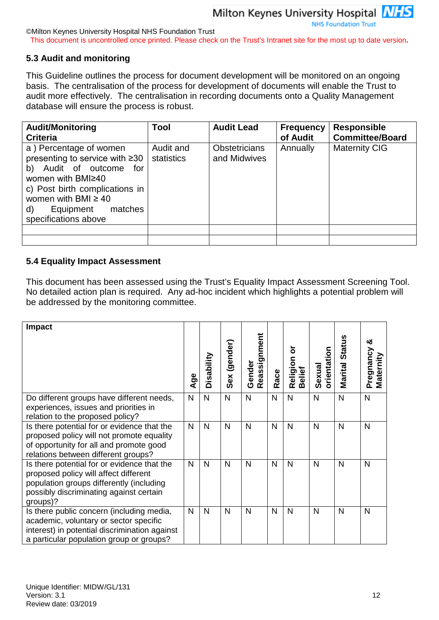©Milton Keynes University Hospital NHS Foundation Trust

This document is uncontrolled once printed. Please check on the Trust's Intranet site for the most up to date version**.**

#### **5.3 Audit and monitoring**

This Guideline outlines the process for document development will be monitored on an ongoing basis. The centralisation of the process for development of documents will enable the Trust to audit more effectively. The centralisation in recording documents onto a Quality Management database will ensure the process is robust.

| <b>Audit/Monitoring</b><br><b>Criteria</b>                                                                                                                                                                                      | Tool                    | <b>Audit Lead</b>                    | <b>Frequency</b><br>of Audit | <b>Responsible</b><br><b>Committee/Board</b> |
|---------------------------------------------------------------------------------------------------------------------------------------------------------------------------------------------------------------------------------|-------------------------|--------------------------------------|------------------------------|----------------------------------------------|
| a) Percentage of women<br>presenting to service with ≥30<br>Audit of outcome for<br>b)<br>women with BMI≥40<br>c) Post birth complications in<br>women with BMI $\geq 40$<br>Equipment<br>matches<br>d)<br>specifications above | Audit and<br>statistics | <b>Obstetricians</b><br>and Midwives | Annually                     | <b>Maternity CIG</b>                         |
|                                                                                                                                                                                                                                 |                         |                                      |                              |                                              |
|                                                                                                                                                                                                                                 |                         |                                      |                              |                                              |

#### **5.4 Equality Impact Assessment**

This document has been assessed using the Trust's Equality Impact Assessment Screening Tool. No detailed action plan is required. Any ad-hoc incident which highlights a potential problem will be addressed by the monitoring committee.

| <b>Impact</b>                                                                                                                                                                           | Age          | Disability   | (gender)<br>Sex | Reassignment<br>Gender | Race | ৯<br>Religion<br>Belief | orientation<br>Sexual | Marital Status | య<br>Pregnancy<br>Maternity |
|-----------------------------------------------------------------------------------------------------------------------------------------------------------------------------------------|--------------|--------------|-----------------|------------------------|------|-------------------------|-----------------------|----------------|-----------------------------|
| Do different groups have different needs,<br>experiences, issues and priorities in<br>relation to the proposed policy?                                                                  | $\mathsf{N}$ | $\mathsf{N}$ | $\mathsf{N}$    | $\mathsf{N}$           | N    | $\mathsf{N}$            | $\mathsf{N}$          | N              | N                           |
| Is there potential for or evidence that the<br>proposed policy will not promote equality<br>of opportunity for all and promote good<br>relations between different groups?              | N            | $\mathsf{N}$ | N               | N                      | N    | $\mathsf{N}$            | N                     | N              | N                           |
| Is there potential for or evidence that the<br>proposed policy will affect different<br>population groups differently (including<br>possibly discriminating against certain<br>groups)? | $\mathsf{N}$ | N            | N               | $\mathsf{N}$           | N    | $\mathsf{N}$            | N                     | N              | N                           |
| Is there public concern (including media,<br>academic, voluntary or sector specific<br>interest) in potential discrimination against<br>a particular population group or groups?        | N            | N            | N               | N                      | N    | $\mathsf{N}$            | N                     | N              | N                           |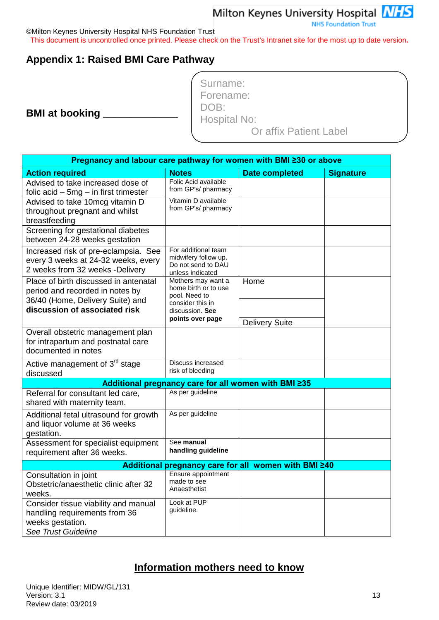Milton Keynes University Hospital **NHS NHS Foundation Trust** 

©Milton Keynes University Hospital NHS Foundation Trust

This document is uncontrolled once printed. Please check on the Trust's Intranet site for the most up to date version**.**

# <span id="page-12-0"></span>**Appendix 1: Raised BMI Care Pathway**

**BMI at booking** 

| Surname:               |  |
|------------------------|--|
| Forename:              |  |
| DOB:                   |  |
| Hospital No:           |  |
| Or affix Patient Label |  |

|                                                                          | Pregnancy and labour care pathway for women with BMI ≥30 or above |                                                      |                  |
|--------------------------------------------------------------------------|-------------------------------------------------------------------|------------------------------------------------------|------------------|
| <b>Action required</b>                                                   | <b>Notes</b>                                                      | <b>Date completed</b>                                | <b>Signature</b> |
| Advised to take increased dose of                                        | Folic Acid available                                              |                                                      |                  |
| folic $acid - 5mg - in first trimester$                                  | from GP's/ pharmacy                                               |                                                      |                  |
| Advised to take 10mcg vitamin D                                          | Vitamin D available<br>from GP's/ pharmacy                        |                                                      |                  |
| throughout pregnant and whilst                                           |                                                                   |                                                      |                  |
| breastfeeding                                                            |                                                                   |                                                      |                  |
| Screening for gestational diabetes                                       |                                                                   |                                                      |                  |
| between 24-28 weeks gestation                                            | For additional team                                               |                                                      |                  |
| Increased risk of pre-eclampsia. See                                     | midwifery follow up.                                              |                                                      |                  |
| every 3 weeks at 24-32 weeks, every<br>2 weeks from 32 weeks -Delivery   | Do not send to DAU                                                |                                                      |                  |
|                                                                          | unless indicated<br>Mothers may want a                            |                                                      |                  |
| Place of birth discussed in antenatal<br>period and recorded in notes by | home birth or to use                                              | Home                                                 |                  |
| 36/40 (Home, Delivery Suite) and                                         | pool. Need to                                                     |                                                      |                  |
| discussion of associated risk                                            | consider this in<br>discussion. See                               |                                                      |                  |
|                                                                          | points over page                                                  |                                                      |                  |
|                                                                          |                                                                   | <b>Delivery Suite</b>                                |                  |
| Overall obstetric management plan<br>for intrapartum and postnatal care  |                                                                   |                                                      |                  |
| documented in notes                                                      |                                                                   |                                                      |                  |
|                                                                          | Discuss increased                                                 |                                                      |                  |
| Active management of 3 <sup>rd</sup> stage<br>discussed                  | risk of bleeding                                                  |                                                      |                  |
|                                                                          |                                                                   | Additional pregnancy care for all women with BMI ≥35 |                  |
| Referral for consultant led care,                                        | As per guideline                                                  |                                                      |                  |
| shared with maternity team.                                              |                                                                   |                                                      |                  |
| Additional fetal ultrasound for growth                                   | As per guideline                                                  |                                                      |                  |
| and liquor volume at 36 weeks                                            |                                                                   |                                                      |                  |
| gestation.                                                               |                                                                   |                                                      |                  |
| Assessment for specialist equipment                                      | See manual                                                        |                                                      |                  |
| requirement after 36 weeks.                                              | handling guideline                                                |                                                      |                  |
|                                                                          |                                                                   | Additional pregnancy care for all women with BMI ≥40 |                  |
| Consultation in joint                                                    | Ensure appointment<br>made to see                                 |                                                      |                  |
| Obstetric/anaesthetic clinic after 32                                    | Anaesthetist                                                      |                                                      |                  |
| weeks.                                                                   | Look at PUP                                                       |                                                      |                  |
| Consider tissue viability and manual<br>handling requirements from 36    | guideline.                                                        |                                                      |                  |
| weeks gestation.                                                         |                                                                   |                                                      |                  |
| See Trust Guideline                                                      |                                                                   |                                                      |                  |

# **Information mothers need to know**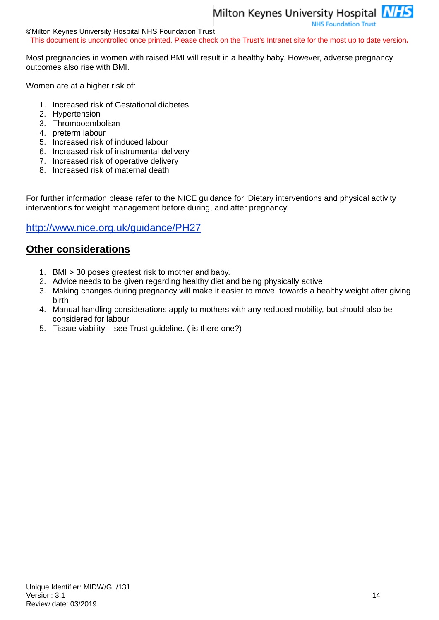**NHS Foundation Trust** 

©Milton Keynes University Hospital NHS Foundation Trust This document is uncontrolled once printed. Please check on the Trust's Intranet site for the most up to date version**.**

Most pregnancies in women with raised BMI will result in a healthy baby. However, adverse pregnancy outcomes also rise with BMI.

Women are at a higher risk of:

- 1. Increased risk of Gestational diabetes
- 2. Hypertension
- 3. Thromboembolism
- 4. preterm labour
- 5. Increased risk of induced labour
- 6. Increased risk of instrumental delivery
- 7. Increased risk of operative delivery
- 8. Increased risk of maternal death

For further information please refer to the NICE guidance for 'Dietary interventions and physical activity interventions for weight management before during, and after pregnancy'

# <http://www.nice.org.uk/guidance/PH27>

# **Other considerations**

- 1. BMI > 30 poses greatest risk to mother and baby.
- 2. Advice needs to be given regarding healthy diet and being physically active
- 3. Making changes during pregnancy will make it easier to move towards a healthy weight after giving birth
- 4. Manual handling considerations apply to mothers with any reduced mobility, but should also be considered for labour
- 5. Tissue viability see Trust guideline. ( is there one?)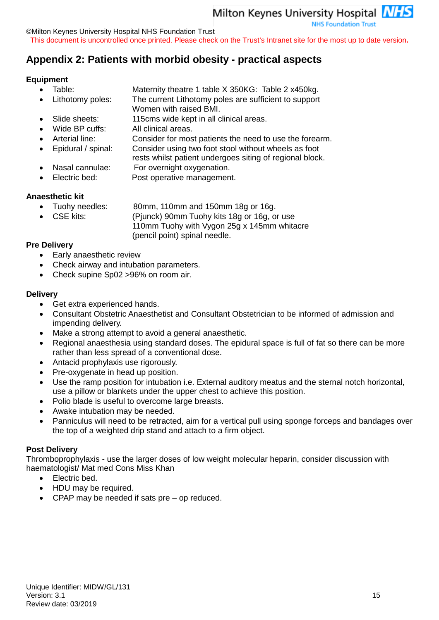©Milton Keynes University Hospital NHS Foundation Trust

This document is uncontrolled once printed. Please check on the Trust's Intranet site for the most up to date version**.**

# <span id="page-14-0"></span>**Appendix 2: Patients with morbid obesity - practical aspects**

#### **Equipment**

- Table: Maternity theatre 1 table X 350KG: Table 2 x450kg.
	- Lithotomy poles: The current Lithotomy poles are sufficient to support
- Women with raised BMI.
- Slide sheets: 115cms wide kept in all clinical areas.
- Wide BP cuffs: All clinical areas.
- Arterial line: Consider for most patients the need to use the forearm.
- Epidural / spinal: Consider using two foot stool without wheels as foot
	- rests whilst patient undergoes siting of regional block.
- Nasal cannulae: For overnight oxygenation.
- Electric bed: Post operative management.

- **Anaesthetic kit** 80mm, 110mm and 150mm 18g or 16g.
	- CSE kits: (Pjunck) 90mm Tuohy kits 18g or 16g, or use

110mm Tuohy with Vygon 25g x 145mm whitacre (pencil point) spinal needle.

#### **Pre Delivery**

- Early anaesthetic review
- Check airway and intubation parameters.
- Check supine Sp02 > 96% on room air.

### **Delivery**

- Get extra experienced hands.
- Consultant Obstetric Anaesthetist and Consultant Obstetrician to be informed of admission and impending delivery.
- Make a strong attempt to avoid a general anaesthetic.
- Regional anaesthesia using standard doses. The epidural space is full of fat so there can be more rather than less spread of a conventional dose.
- Antacid prophylaxis use rigorously.
- Pre-oxygenate in head up position.
- Use the ramp position for intubation i.e. External auditory meatus and the sternal notch horizontal, use a pillow or blankets under the upper chest to achieve this position.
- Polio blade is useful to overcome large breasts.
- Awake intubation may be needed.
- Panniculus will need to be retracted, aim for a vertical pull using sponge forceps and bandages over the top of a weighted drip stand and attach to a firm object.

#### **Post Delivery**

Thromboprophylaxis - use the larger doses of low weight molecular heparin, consider discussion with haematologist/ Mat med Cons Miss Khan

- Electric bed.
- HDU may be required.
- CPAP may be needed if sats  $pre op$  reduced.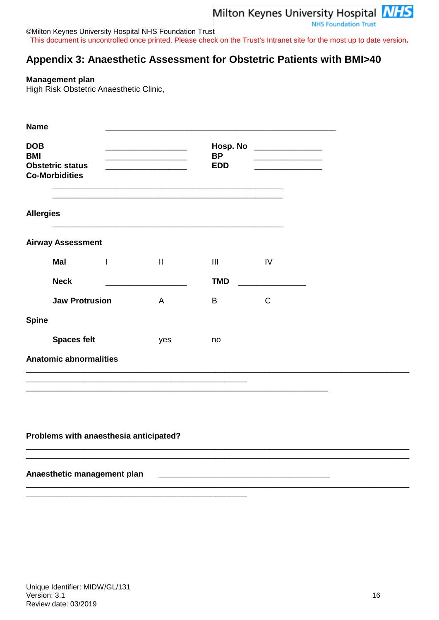**NHS Foundation Trust** 

©Milton Keynes University Hospital NHS Foundation Trust This document is uncontrolled once printed. Please check on the Trust's Intranet site for the most up to date version**.**

# <span id="page-15-0"></span>**Appendix 3: Anaesthetic Assessment for Obstetric Patients with BMI>40**

#### **Management plan**

High Risk Obstetric Anaesthetic Clinic,

| <b>Name</b>              |                                                  |                                                                 |                   |                                       |               |
|--------------------------|--------------------------------------------------|-----------------------------------------------------------------|-------------------|---------------------------------------|---------------|
| <b>DOB</b><br><b>BMI</b> | <b>Obstetric status</b><br><b>Co-Morbidities</b> | <u> 1980 - Johann Barn, mars an t-Amerikaansk kommunister (</u> |                   | Hosp. No<br><b>BP</b><br><b>EDD</b>   |               |
| <b>Allergies</b>         |                                                  |                                                                 |                   |                                       |               |
|                          | <b>Airway Assessment</b>                         |                                                                 |                   |                                       |               |
|                          | <b>Mal</b>                                       | $\mathbf{I}$                                                    | $\prod_{i=1}^{n}$ | $\begin{array}{c} \hline \end{array}$ | $\mathsf{IV}$ |
|                          | <b>Neck</b>                                      |                                                                 |                   | <b>TMD</b>                            |               |
|                          | <b>Jaw Protrusion</b>                            |                                                                 | $\overline{A}$    | B                                     | $\mathsf{C}$  |
| <b>Spine</b>             |                                                  |                                                                 |                   |                                       |               |
|                          | <b>Spaces felt</b>                               |                                                                 | yes               | no                                    |               |
|                          | <b>Anatomic abnormalities</b>                    |                                                                 |                   |                                       |               |
|                          |                                                  |                                                                 |                   |                                       |               |

\_\_\_\_\_\_\_\_\_\_\_\_\_\_\_\_\_\_\_\_\_\_\_\_\_\_\_\_\_\_\_\_\_\_\_\_\_\_\_\_\_\_\_\_\_\_\_\_\_\_\_\_\_\_\_\_\_\_\_\_\_\_\_\_\_\_\_

\_\_\_\_\_\_\_\_\_\_\_\_\_\_\_\_\_\_\_\_\_\_\_\_\_\_\_\_\_\_\_\_\_\_\_\_\_\_\_\_\_\_\_\_\_\_\_\_\_\_\_\_\_\_\_\_\_\_\_\_\_\_\_\_\_\_\_\_\_\_\_\_\_\_\_\_\_\_\_\_\_\_\_\_\_ \_\_\_\_\_\_\_\_\_\_\_\_\_\_\_\_\_\_\_\_\_\_\_\_\_\_\_\_\_\_\_\_\_\_\_\_\_\_\_\_\_\_\_\_\_\_\_\_\_\_\_\_\_\_\_\_\_\_\_\_\_\_\_\_\_\_\_\_\_\_\_\_\_\_\_\_\_\_\_\_\_\_\_\_\_

\_\_\_\_\_\_\_\_\_\_\_\_\_\_\_\_\_\_\_\_\_\_\_\_\_\_\_\_\_\_\_\_\_\_\_\_\_\_\_\_\_\_\_\_\_\_\_\_\_\_\_\_\_\_\_\_\_\_\_\_\_\_\_\_\_\_\_\_\_\_\_\_\_\_\_\_\_\_\_\_\_\_\_\_\_

#### **Problems with anaesthesia anticipated?**

\_\_\_\_\_\_\_\_\_\_\_\_\_\_\_\_\_\_\_\_\_\_\_\_\_\_\_\_\_\_\_\_\_\_\_\_\_\_\_\_\_\_\_\_\_\_\_\_\_

#### **Anaesthetic management plan** \_\_\_\_\_\_\_\_\_\_\_\_\_\_\_\_\_\_\_\_\_\_\_\_\_\_\_\_\_\_\_\_\_\_\_\_\_\_